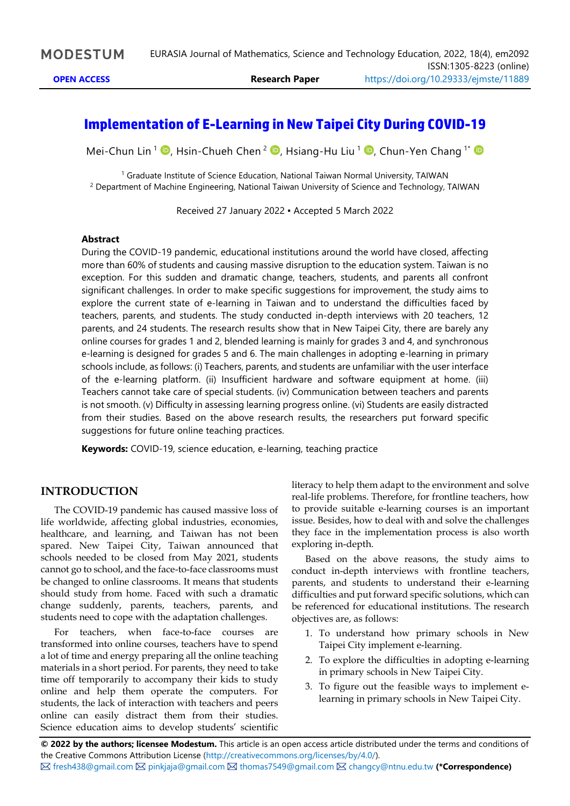# **Implementation of E-Learning in New Taipei City During COVID-19**

Mei-Chun Lin <sup>1</sup> <sup>D</sup>[,](https://orcid.org/0000-0002-4438-1349) Hsin-Chueh Chen <sup>2</sup> D, Hsiang-Hu Liu <sup>1</sup> D, Chun-Yen Chang <sup>1</sup>

<sup>1</sup> Graduate Institute of Science Education, National Taiwan Normal University, TAIWAN <sup>2</sup> Department of Machine Engineering, National Taiwan University of Science and Technology, TAIWAN

Received 27 January 2022 ▪ Accepted 5 March 2022

#### **Abstract**

During the COVID-19 pandemic, educational institutions around the world have closed, affecting more than 60% of students and causing massive disruption to the education system. Taiwan is no exception. For this sudden and dramatic change, teachers, students, and parents all confront significant challenges. In order to make specific suggestions for improvement, the study aims to explore the current state of e-learning in Taiwan and to understand the difficulties faced by teachers, parents, and students. The study conducted in-depth interviews with 20 teachers, 12 parents, and 24 students. The research results show that in New Taipei City, there are barely any online courses for grades 1 and 2, blended learning is mainly for grades 3 and 4, and synchronous e-learning is designed for grades 5 and 6. The main challenges in adopting e-learning in primary schools include, as follows: (i) Teachers, parents, and students are unfamiliar with the user interface of the e-learning platform. (ii) Insufficient hardware and software equipment at home. (iii) Teachers cannot take care of special students. (iv) Communication between teachers and parents is not smooth. (v) Difficulty in assessing learning progress online. (vi) Students are easily distracted from their studies. Based on the above research results, the researchers put forward specific suggestions for future online teaching practices.

**Keywords:** COVID-19, science education, e-learning, teaching practice

## **INTRODUCTION**

The COVID-19 pandemic has caused massive loss of life worldwide, affecting global industries, economies, healthcare, and learning, and Taiwan has not been spared. New Taipei City, Taiwan announced that schools needed to be closed from May 2021, students cannot go to school, and the face-to-face classrooms must be changed to online classrooms. It means that students should study from home. Faced with such a dramatic change suddenly, parents, teachers, parents, and students need to cope with the adaptation challenges.

For teachers, when face-to-face courses are transformed into online courses, teachers have to spend a lot of time and energy preparing all the online teaching materials in a short period. For parents, they need to take time off temporarily to accompany their kids to study online and help them operate the computers. For students, the lack of interaction with teachers and peers online can easily distract them from their studies. Science education aims to develop students' scientific

literacy to help them adapt to the environment and solve real-life problems. Therefore, for frontline teachers, how to provide suitable e-learning courses is an important issue. Besides, how to deal with and solve the challenges they face in the implementation process is also worth exploring in-depth.

Based on the above reasons, the study aims to conduct in-depth interviews with frontline teachers, parents, and students to understand their e-learning difficulties and put forward specific solutions, which can be referenced for educational institutions. The research objectives are, as follows:

- 1. To understand how primary schools in New Taipei City implement e-learning.
- 2. To explore the difficulties in adopting e-learning in primary schools in New Taipei City.
- 3. To figure out the feasible ways to implement elearning in primary schools in New Taipei City.

**© 2022 by the authors; licensee Modestum.** This article is an open access article distributed under the terms and conditions of the Creative Commons Attribution License [\(http://creativecommons.org/licenses/by/4.0/\)](http://creativecommons.org/licenses/by/4.0/). [fresh438@gmail.com](mailto:fresh438@gmail.com) [pinkjaja@gmail.com](mailto:pinkjaja@gmail.com) [thomas7549@gmail.com](mailto:thomas7549@gmail.com) [changcy@ntnu.edu.tw](mailto:changcy@ntnu.edu.tw) **(\*Correspondence)**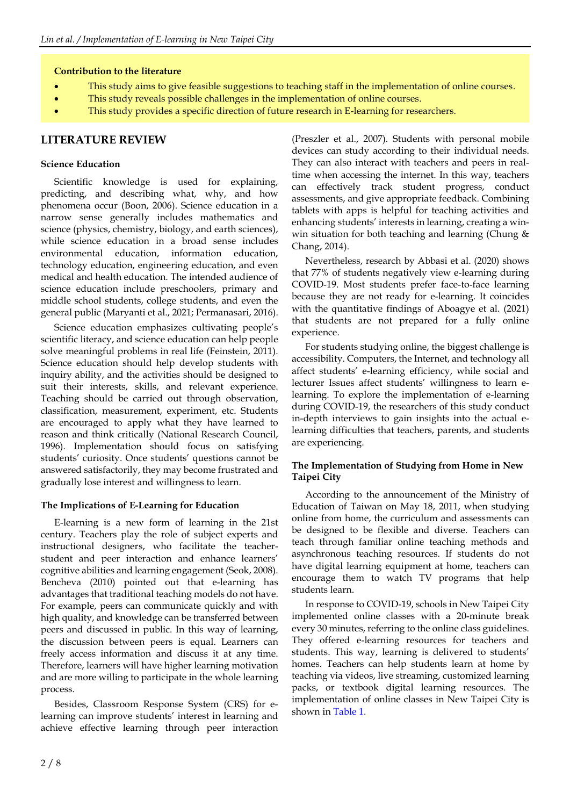#### **Contribution to the literature**

- This study aims to give feasible suggestions to teaching staff in the implementation of online courses.
- This study reveals possible challenges in the implementation of online courses.
- This study provides a specific direction of future research in E-learning for researchers.

## **LITERATURE REVIEW**

#### **Science Education**

Scientific knowledge is used for explaining, predicting, and describing what, why, and how phenomena occur (Boon, 2006). Science education in a narrow sense generally includes mathematics and science (physics, chemistry, biology, and earth sciences), while science education in a broad sense includes environmental education, information education, technology education, engineering education, and even medical and health education. The intended audience of science education include preschoolers, primary and middle school students, college students, and even the general public (Maryanti et al., 2021; Permanasari, 2016).

Science education emphasizes cultivating people's scientific literacy, and science education can help people solve meaningful problems in real life (Feinstein, 2011). Science education should help develop students with inquiry ability, and the activities should be designed to suit their interests, skills, and relevant experience. Teaching should be carried out through observation, classification, measurement, experiment, etc. Students are encouraged to apply what they have learned to reason and think critically (National Research Council, 1996). Implementation should focus on satisfying students' curiosity. Once students' questions cannot be answered satisfactorily, they may become frustrated and gradually lose interest and willingness to learn.

## **The Implications of E-Learning for Education**

E-learning is a new form of learning in the 21st century. Teachers play the role of subject experts and instructional designers, who facilitate the teacherstudent and peer interaction and enhance learners' cognitive abilities and learning engagement (Seok, 2008). Bencheva (2010) pointed out that e-learning has advantages that traditional teaching models do not have. For example, peers can communicate quickly and with high quality, and knowledge can be transferred between peers and discussed in public. In this way of learning, the discussion between peers is equal. Learners can freely access information and discuss it at any time. Therefore, learners will have higher learning motivation and are more willing to participate in the whole learning process.

Besides, Classroom Response System (CRS) for elearning can improve students' interest in learning and achieve effective learning through peer interaction

(Preszler et al., 2007). Students with personal mobile devices can study according to their individual needs. They can also interact with teachers and peers in realtime when accessing the internet. In this way, teachers can effectively track student progress, conduct assessments, and give appropriate feedback. Combining tablets with apps is helpful for teaching activities and enhancing students' interests in learning, creating a winwin situation for both teaching and learning (Chung & Chang, 2014).

Nevertheless, research by Abbasi et al. (2020) shows that 77% of students negatively view e-learning during COVID-19. Most students prefer face-to-face learning because they are not ready for e-learning. It coincides with the quantitative findings of Aboagye et al. (2021) that students are not prepared for a fully online experience.

For students studying online, the biggest challenge is accessibility. Computers, the Internet, and technology all affect students' e-learning efficiency, while social and lecturer Issues affect students' willingness to learn elearning. To explore the implementation of e-learning during COVID-19, the researchers of this study conduct in-depth interviews to gain insights into the actual elearning difficulties that teachers, parents, and students are experiencing.

#### **The Implementation of Studying from Home in New Taipei City**

According to the announcement of the Ministry of Education of Taiwan on May 18, 2011, when studying online from home, the curriculum and assessments can be designed to be flexible and diverse. Teachers can teach through familiar online teaching methods and asynchronous teaching resources. If students do not have digital learning equipment at home, teachers can encourage them to watch TV programs that help students learn.

In response to COVID-19, schools in New Taipei City implemented online classes with a 20-minute break every 30 minutes, referring to the online class guidelines. They offered e-learning resources for teachers and students. This way, learning is delivered to students' homes. Teachers can help students learn at home by teaching via videos, live streaming, customized learning packs, or textbook digital learning resources. The implementation of online classes in New Taipei City is shown in Table 1.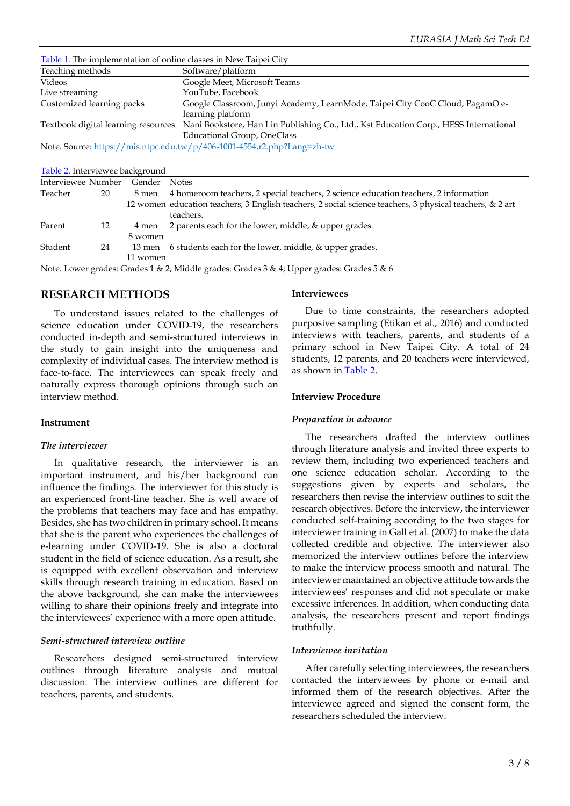Table 1. The implementation of online classes in New Taipei City Teaching methods Software/platform Videos Google Meet, Microsoft Teams YouTube, Facebook Customized learning packs Google Classroom, Junyi Academy, LearnMode, Taipei City CooC Cloud, PagamO elearning platform Textbook digital learning resources Nani Bookstore, Han Lin Publishing Co., Ltd., Kst Education Corp., HESS International Educational Group, OneClass

Note. Source:<https://mis.ntpc.edu.tw/p/406-1001-4554,r2.php?Lang=zh-tw>

Table 2. Interviewee background

| Interviewee Number |    | Gender            | <b>Notes</b>                                                                                                          |
|--------------------|----|-------------------|-----------------------------------------------------------------------------------------------------------------------|
| Teacher            | 20 | 8 men             | 4 homeroom teachers, 2 special teachers, 2 science education teachers, 2 information                                  |
|                    |    |                   | 12 women education teachers, 3 English teachers, 2 social science teachers, 3 physical teachers, & 2 art<br>teachers. |
| Parent             | 12 | 4 men             | 2 parents each for the lower, middle, & upper grades.                                                                 |
| Student            | 24 | 8 women<br>13 men | 6 students each for the lower, middle, & upper grades.                                                                |
|                    |    | 11 women          |                                                                                                                       |

Note. Lower grades: Grades 1 & 2; Middle grades: Grades 3 & 4; Upper grades: Grades 5 & 6

#### **RESEARCH METHODS**

To understand issues related to the challenges of science education under COVID-19, the researchers conducted in-depth and semi-structured interviews in the study to gain insight into the uniqueness and complexity of individual cases. The interview method is face-to-face. The interviewees can speak freely and naturally express thorough opinions through such an interview method.

#### **Instrument**

#### *The interviewer*

In qualitative research, the interviewer is an important instrument, and his/her background can influence the findings. The interviewer for this study is an experienced front-line teacher. She is well aware of the problems that teachers may face and has empathy. Besides, she has two children in primary school. It means that she is the parent who experiences the challenges of e-learning under COVID-19. She is also a doctoral student in the field of science education. As a result, she is equipped with excellent observation and interview skills through research training in education. Based on the above background, she can make the interviewees willing to share their opinions freely and integrate into the interviewees' experience with a more open attitude.

#### *Semi-structured interview outline*

Researchers designed semi-structured interview outlines through literature analysis and mutual discussion. The interview outlines are different for teachers, parents, and students.

#### **Interviewees**

Due to time constraints, the researchers adopted purposive sampling (Etikan et al., 2016) and conducted interviews with teachers, parents, and students of a primary school in New Taipei City. A total of 24 students, 12 parents, and 20 teachers were interviewed, as shown in Table 2.

#### **Interview Procedure**

#### *Preparation in advance*

The researchers drafted the interview outlines through literature analysis and invited three experts to review them, including two experienced teachers and one science education scholar. According to the suggestions given by experts and scholars, the researchers then revise the interview outlines to suit the research objectives. Before the interview, the interviewer conducted self-training according to the two stages for interviewer training in Gall et al. (2007) to make the data collected credible and objective. The interviewer also memorized the interview outlines before the interview to make the interview process smooth and natural. The interviewer maintained an objective attitude towards the interviewees' responses and did not speculate or make excessive inferences. In addition, when conducting data analysis, the researchers present and report findings truthfully.

#### *Interviewee invitation*

After carefully selecting interviewees, the researchers contacted the interviewees by phone or e-mail and informed them of the research objectives. After the interviewee agreed and signed the consent form, the researchers scheduled the interview.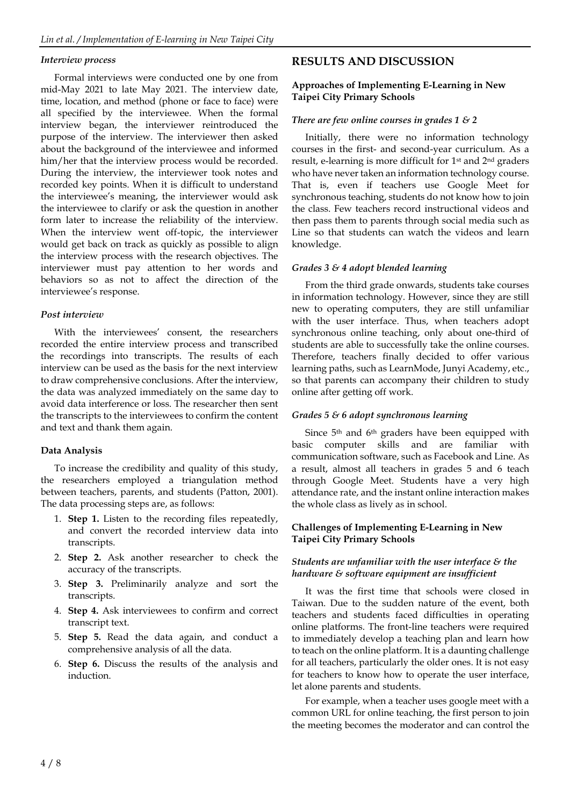#### *Interview process*

Formal interviews were conducted one by one from mid-May 2021 to late May 2021. The interview date, time, location, and method (phone or face to face) were all specified by the interviewee. When the formal interview began, the interviewer reintroduced the purpose of the interview. The interviewer then asked about the background of the interviewee and informed him/her that the interview process would be recorded. During the interview, the interviewer took notes and recorded key points. When it is difficult to understand the interviewee's meaning, the interviewer would ask the interviewee to clarify or ask the question in another form later to increase the reliability of the interview. When the interview went off-topic, the interviewer would get back on track as quickly as possible to align the interview process with the research objectives. The interviewer must pay attention to her words and behaviors so as not to affect the direction of the interviewee's response.

#### *Post interview*

With the interviewees' consent, the researchers recorded the entire interview process and transcribed the recordings into transcripts. The results of each interview can be used as the basis for the next interview to draw comprehensive conclusions. After the interview, the data was analyzed immediately on the same day to avoid data interference or loss. The researcher then sent the transcripts to the interviewees to confirm the content and text and thank them again.

#### **Data Analysis**

To increase the credibility and quality of this study, the researchers employed a triangulation method between teachers, parents, and students (Patton, 2001). The data processing steps are, as follows:

- 1. **Step 1.** Listen to the recording files repeatedly, and convert the recorded interview data into transcripts.
- 2. **Step 2.** Ask another researcher to check the accuracy of the transcripts.
- 3. **Step 3.** Preliminarily analyze and sort the transcripts.
- 4. **Step 4.** Ask interviewees to confirm and correct transcript text.
- 5. **Step 5.** Read the data again, and conduct a comprehensive analysis of all the data.
- 6. **Step 6.** Discuss the results of the analysis and induction.

# **RESULTS AND DISCUSSION**

#### **Approaches of Implementing E-Learning in New Taipei City Primary Schools**

## *There are few online courses in grades 1 & 2*

Initially, there were no information technology courses in the first- and second-year curriculum. As a result, e-learning is more difficult for 1<sup>st</sup> and 2<sup>nd</sup> graders who have never taken an information technology course. That is, even if teachers use Google Meet for synchronous teaching, students do not know how to join the class. Few teachers record instructional videos and then pass them to parents through social media such as Line so that students can watch the videos and learn knowledge.

#### *Grades 3 & 4 adopt blended learning*

From the third grade onwards, students take courses in information technology. However, since they are still new to operating computers, they are still unfamiliar with the user interface. Thus, when teachers adopt synchronous online teaching, only about one-third of students are able to successfully take the online courses. Therefore, teachers finally decided to offer various learning paths, such as LearnMode, Junyi Academy, etc., so that parents can accompany their children to study online after getting off work.

#### *Grades 5 & 6 adopt synchronous learning*

Since 5<sup>th</sup> and 6<sup>th</sup> graders have been equipped with basic computer skills and are familiar with communication software, such as Facebook and Line. As a result, almost all teachers in grades 5 and 6 teach through Google Meet. Students have a very high attendance rate, and the instant online interaction makes the whole class as lively as in school.

#### **Challenges of Implementing E-Learning in New Taipei City Primary Schools**

## *Students are unfamiliar with the user interface & the hardware & software equipment are insufficient*

It was the first time that schools were closed in Taiwan. Due to the sudden nature of the event, both teachers and students faced difficulties in operating online platforms. The front-line teachers were required to immediately develop a teaching plan and learn how to teach on the online platform. It is a daunting challenge for all teachers, particularly the older ones. It is not easy for teachers to know how to operate the user interface, let alone parents and students.

For example, when a teacher uses google meet with a common URL for online teaching, the first person to join the meeting becomes the moderator and can control the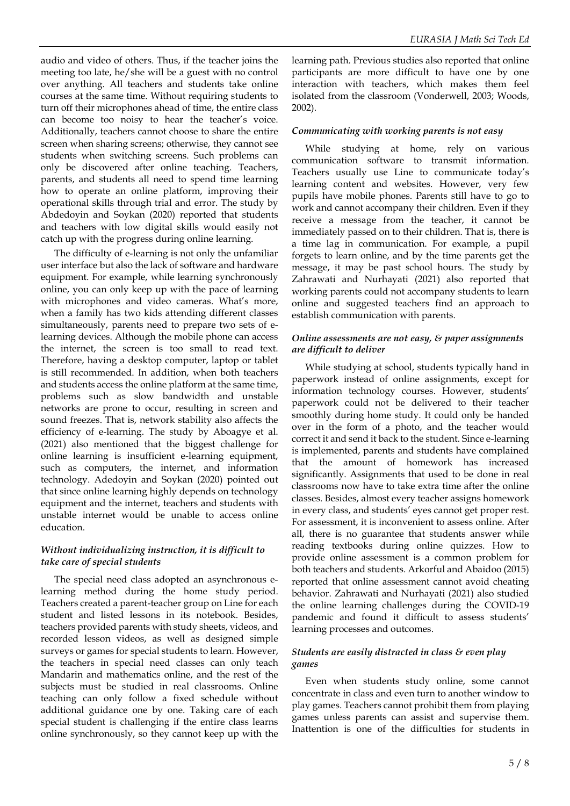audio and video of others. Thus, if the teacher joins the meeting too late, he/she will be a guest with no control over anything. All teachers and students take online courses at the same time. Without requiring students to turn off their microphones ahead of time, the entire class can become too noisy to hear the teacher's voice. Additionally, teachers cannot choose to share the entire screen when sharing screens; otherwise, they cannot see students when switching screens. Such problems can only be discovered after online teaching. Teachers, parents, and students all need to spend time learning how to operate an online platform, improving their operational skills through trial and error. The study by Abdedoyin and Soykan (2020) reported that students and teachers with low digital skills would easily not catch up with the progress during online learning.

The difficulty of e-learning is not only the unfamiliar user interface but also the lack of software and hardware equipment. For example, while learning synchronously online, you can only keep up with the pace of learning with microphones and video cameras. What's more, when a family has two kids attending different classes simultaneously, parents need to prepare two sets of elearning devices. Although the mobile phone can access the internet, the screen is too small to read text. Therefore, having a desktop computer, laptop or tablet is still recommended. In addition, when both teachers and students access the online platform at the same time, problems such as slow bandwidth and unstable networks are prone to occur, resulting in screen and sound freezes. That is, network stability also affects the efficiency of e-learning. The study by Aboagye et al. (2021) also mentioned that the biggest challenge for online learning is insufficient e-learning equipment, such as computers, the internet, and information technology. Adedoyin and Soykan (2020) pointed out that since online learning highly depends on technology equipment and the internet, teachers and students with unstable internet would be unable to access online education.

#### *Without individualizing instruction, it is difficult to take care of special students*

The special need class adopted an asynchronous elearning method during the home study period. Teachers created a parent-teacher group on Line for each student and listed lessons in its notebook. Besides, teachers provided parents with study sheets, videos, and recorded lesson videos, as well as designed simple surveys or games for special students to learn. However, the teachers in special need classes can only teach Mandarin and mathematics online, and the rest of the subjects must be studied in real classrooms. Online teaching can only follow a fixed schedule without additional guidance one by one. Taking care of each special student is challenging if the entire class learns online synchronously, so they cannot keep up with the

learning path. Previous studies also reported that online participants are more difficult to have one by one interaction with teachers, which makes them feel isolated from the classroom (Vonderwell, 2003; Woods, 2002).

#### *Communicating with working parents is not easy*

While studying at home, rely on various communication software to transmit information. Teachers usually use Line to communicate today's learning content and websites. However, very few pupils have mobile phones. Parents still have to go to work and cannot accompany their children. Even if they receive a message from the teacher, it cannot be immediately passed on to their children. That is, there is a time lag in communication. For example, a pupil forgets to learn online, and by the time parents get the message, it may be past school hours. The study by Zahrawati and Nurhayati (2021) also reported that working parents could not accompany students to learn online and suggested teachers find an approach to establish communication with parents.

#### *Online assessments are not easy, & paper assignments are difficult to deliver*

While studying at school, students typically hand in paperwork instead of online assignments, except for information technology courses. However, students' paperwork could not be delivered to their teacher smoothly during home study. It could only be handed over in the form of a photo, and the teacher would correct it and send it back to the student. Since e-learning is implemented, parents and students have complained that the amount of homework has increased significantly. Assignments that used to be done in real classrooms now have to take extra time after the online classes. Besides, almost every teacher assigns homework in every class, and students' eyes cannot get proper rest. For assessment, it is inconvenient to assess online. After all, there is no guarantee that students answer while reading textbooks during online quizzes. How to provide online assessment is a common problem for both teachers and students. Arkorful and Abaidoo (2015) reported that online assessment cannot avoid cheating behavior. Zahrawati and Nurhayati (2021) also studied the online learning challenges during the COVID-19 pandemic and found it difficult to assess students' learning processes and outcomes.

#### *Students are easily distracted in class & even play games*

Even when students study online, some cannot concentrate in class and even turn to another window to play games. Teachers cannot prohibit them from playing games unless parents can assist and supervise them. Inattention is one of the difficulties for students in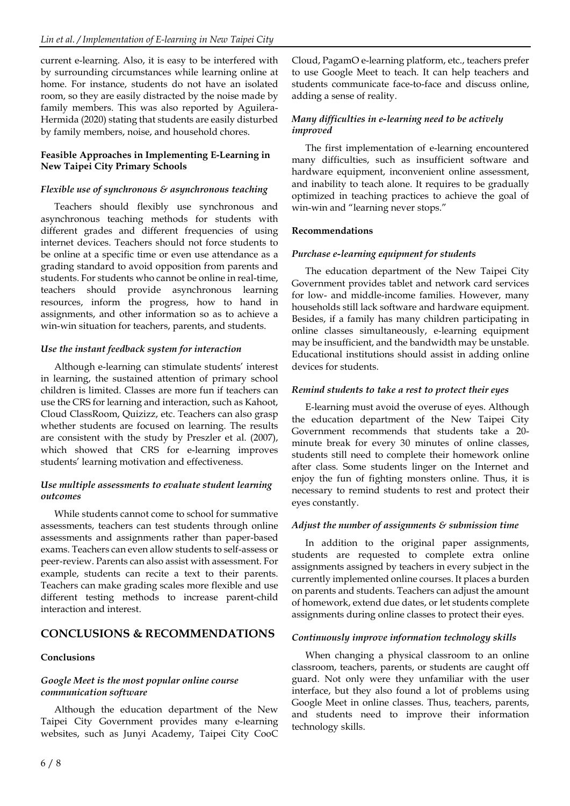current e-learning. Also, it is easy to be interfered with by surrounding circumstances while learning online at home. For instance, students do not have an isolated room, so they are easily distracted by the noise made by family members. This was also reported by Aguilera-Hermida (2020) stating that students are easily disturbed by family members, noise, and household chores.

#### **Feasible Approaches in Implementing E-Learning in New Taipei City Primary Schools**

## *Flexible use of synchronous & asynchronous teaching*

Teachers should flexibly use synchronous and asynchronous teaching methods for students with different grades and different frequencies of using internet devices. Teachers should not force students to be online at a specific time or even use attendance as a grading standard to avoid opposition from parents and students. For students who cannot be online in real-time, teachers should provide asynchronous learning resources, inform the progress, how to hand in assignments, and other information so as to achieve a win-win situation for teachers, parents, and students.

## *Use the instant feedback system for interaction*

Although e-learning can stimulate students' interest in learning, the sustained attention of primary school children is limited. Classes are more fun if teachers can use the CRS for learning and interaction, such as Kahoot, Cloud ClassRoom, Quizizz, etc. Teachers can also grasp whether students are focused on learning. The results are consistent with the study by Preszler et al. (2007), which showed that CRS for e-learning improves students' learning motivation and effectiveness.

#### *Use multiple assessments to evaluate student learning outcomes*

While students cannot come to school for summative assessments, teachers can test students through online assessments and assignments rather than paper-based exams. Teachers can even allow students to self-assess or peer-review. Parents can also assist with assessment. For example, students can recite a text to their parents. Teachers can make grading scales more flexible and use different testing methods to increase parent-child interaction and interest.

# **CONCLUSIONS & RECOMMENDATIONS**

## **Conclusions**

#### *Google Meet is the most popular online course communication software*

Although the education department of the New Taipei City Government provides many e-learning websites, such as Junyi Academy, Taipei City CooC

Cloud, PagamO e-learning platform, etc., teachers prefer to use Google Meet to teach. It can help teachers and students communicate face-to-face and discuss online, adding a sense of reality.

## *Many difficulties in e-learning need to be actively improved*

The first implementation of e-learning encountered many difficulties, such as insufficient software and hardware equipment, inconvenient online assessment, and inability to teach alone. It requires to be gradually optimized in teaching practices to achieve the goal of win-win and "learning never stops."

## **Recommendations**

## *Purchase e-learning equipment for students*

The education department of the New Taipei City Government provides tablet and network card services for low- and middle-income families. However, many households still lack software and hardware equipment. Besides, if a family has many children participating in online classes simultaneously, e-learning equipment may be insufficient, and the bandwidth may be unstable. Educational institutions should assist in adding online devices for students.

## *Remind students to take a rest to protect their eyes*

E-learning must avoid the overuse of eyes. Although the education department of the New Taipei City Government recommends that students take a 20 minute break for every 30 minutes of online classes, students still need to complete their homework online after class. Some students linger on the Internet and enjoy the fun of fighting monsters online. Thus, it is necessary to remind students to rest and protect their eyes constantly.

#### *Adjust the number of assignments & submission time*

In addition to the original paper assignments, students are requested to complete extra online assignments assigned by teachers in every subject in the currently implemented online courses. It places a burden on parents and students. Teachers can adjust the amount of homework, extend due dates, or let students complete assignments during online classes to protect their eyes.

## *Continuously improve information technology skills*

When changing a physical classroom to an online classroom, teachers, parents, or students are caught off guard. Not only were they unfamiliar with the user interface, but they also found a lot of problems using Google Meet in online classes. Thus, teachers, parents, and students need to improve their information technology skills.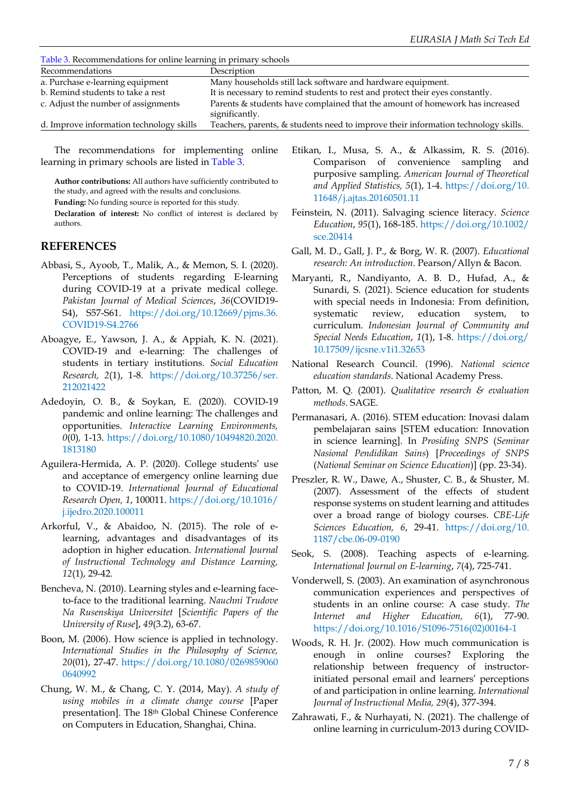Table 3. Recommendations for online learning in primary schools

| <u>racio et raccommentanteno ror orante returnity ni primary ocnocio</u> |                                                                                                |  |  |  |
|--------------------------------------------------------------------------|------------------------------------------------------------------------------------------------|--|--|--|
| Recommendations                                                          | Description                                                                                    |  |  |  |
| a. Purchase e-learning equipment                                         | Many households still lack software and hardware equipment.                                    |  |  |  |
| b. Remind students to take a rest                                        | It is necessary to remind students to rest and protect their eyes constantly.                  |  |  |  |
| c. Adjust the number of assignments                                      | Parents & students have complained that the amount of homework has increased<br>significantly. |  |  |  |
| d. Improve information technology skills                                 | Teachers, parents, & students need to improve their information technology skills.             |  |  |  |

The recommendations for implementing online learning in primary schools are listed in Table 3.

**Author contributions:** All authors have sufficiently contributed to the study, and agreed with the results and conclusions.

**Funding:** No funding source is reported for this study.

**Declaration of interest:** No conflict of interest is declared by authors.

## **REFERENCES**

- Abbasi, S., Ayoob, T., Malik, A., & Memon, S. I. (2020). Perceptions of students regarding E-learning during COVID-19 at a private medical college. *Pakistan Journal of Medical Sciences*, *36*(COVID19- S4), S57-S61. [https://doi.org/10.12669/pjms.36.](https://doi.org/10.12669/pjms.36.COVID19-S4.2766) [COVID19-S4.2766](https://doi.org/10.12669/pjms.36.COVID19-S4.2766)
- Aboagye, E., Yawson, J. A., & Appiah, K. N. (2021). COVID-19 and e-learning: The challenges of students in tertiary institutions. *Social Education Research, 2*(1), 1-8. [https://doi.org/10.37256/ser.](https://doi.org/10.37256/ser.212021422) [212021422](https://doi.org/10.37256/ser.212021422)
- Adedoyin, O. B., & Soykan, E. (2020). COVID-19 pandemic and online learning: The challenges and opportunities. *Interactive Learning Environments, 0*(0)*,* 1-13. [https://doi.org/10.1080/10494820.2020.](https://doi.org/10.1080/10494820.2020.1813180) [1813180](https://doi.org/10.1080/10494820.2020.1813180)
- Aguilera-Hermida, A. P. (2020). College students' use and acceptance of emergency online learning due to COVID-19. *International Journal of Educational Research Open, 1*, 100011. [https://doi.org/10.1016/](https://doi.org/10.1016/j.ijedro.2020.100011) [j.ijedro.2020.100011](https://doi.org/10.1016/j.ijedro.2020.100011)
- Arkorful, V., & Abaidoo, N. (2015). The role of elearning, advantages and disadvantages of its adoption in higher education. *International Journal of Instructional Technology and Distance Learning, 12*(1), 29-42.
- Bencheva, N. (2010). Learning styles and e-learning faceto-face to the traditional learning. *Nauchni Trudove Na Rusenskiya Universitet* [*Scientific Papers of the University of Ruse*], *49*(3.2), 63-67.
- Boon, M. (2006). How science is applied in technology. *International Studies in the Philosophy of Science, 20*(01), 27-47. [https://doi.org/10.1080/0269859060](https://doi.org/10.1080/02698590600640992) [0640992](https://doi.org/10.1080/02698590600640992)
- Chung, W. M., & Chang, C. Y. (2014, May). *A study of using mobiles in a climate change course* [Paper presentation]. The 18th Global Chinese Conference on Computers in Education, Shanghai, China.
- Etikan, I., Musa, S. A., & Alkassim, R. S. (2016). Comparison of convenience sampling and purposive sampling. *American Journal of Theoretical and Applied Statistics, 5*(1), 1-4. [https://doi.org/10.](https://doi.org/10.11648/j.ajtas.20160501.11) [11648/j.ajtas.20160501.11](https://doi.org/10.11648/j.ajtas.20160501.11)
- Feinstein, N. (2011). Salvaging science literacy. *Science Education*, *95*(1), 168-185. [https://doi.org/10.1002/](https://doi.org/10.1002/sce.20414) [sce.20414](https://doi.org/10.1002/sce.20414)
- Gall, M. D., Gall, J. P., & Borg, W. R. (2007). *Educational research: An introduction*. Pearson/Allyn & Bacon.
- Maryanti, R., Nandiyanto, A. B. D., Hufad, A., & Sunardi, S. (2021). Science education for students with special needs in Indonesia: From definition, systematic review, education system, to curriculum. *Indonesian Journal of Community and Special Needs Education*, *1*(1), 1-8. [https://doi.org/](https://doi.org/10.17509/ijcsne.v1i1.32653) [10.17509/ijcsne.v1i1.32653](https://doi.org/10.17509/ijcsne.v1i1.32653)
- National Research Council. (1996). *National science education standards*. National Academy Press.
- Patton, M. Q. (2001). *Qualitative research & evaluation methods*. SAGE.
- Permanasari, A. (2016). STEM education: Inovasi dalam pembelajaran sains [STEM education: Innovation in science learning]. In *Prosiding SNPS* (*Seminar Nasional Pendidikan Sains*) [*Proceedings of SNPS* (*National Seminar on Science Education*)] (pp. 23-34).
- Preszler, R. W., Dawe, A., Shuster, C. B., & Shuster, M. (2007). Assessment of the effects of student response systems on student learning and attitudes over a broad range of biology courses. *CBE-Life Sciences Education, 6*, 29-41. [https://doi.org/10.](https://doi.org/10.1187/cbe.06-09-0190) [1187/cbe.06-09-0190](https://doi.org/10.1187/cbe.06-09-0190)
- Seok, S. (2008). Teaching aspects of e-learning. *International Journal on E-learning*, *7*(4), 725-741.
- Vonderwell, S. (2003). An examination of asynchronous communication experiences and perspectives of students in an online course: A case study. *The Internet and Higher Education, 6*(1), 77-90. [https://doi.org/10.1016/S1096-7516\(02\)00164-1](https://doi.org/10.1016/S1096-7516(02)00164-1)
- Woods, R. H. Jr. (2002). How much communication is enough in online courses? Exploring the relationship between frequency of instructorinitiated personal email and learners' perceptions of and participation in online learning. *International Journal of Instructional Media, 29*(4), 377-394.
- Zahrawati, F., & Nurhayati, N. (2021). The challenge of online learning in curriculum-2013 during COVID-